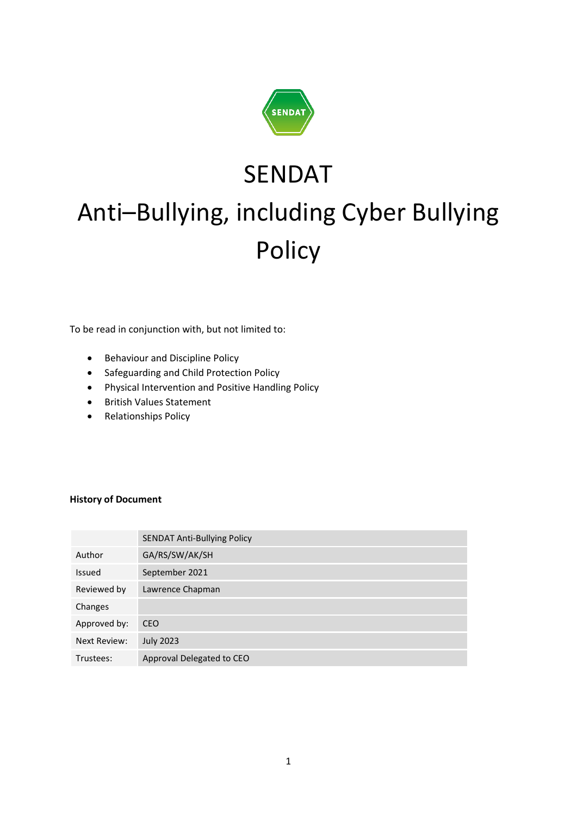

# SENDAT Anti–Bullying, including Cyber Bullying Policy

To be read in conjunction with, but not limited to:

- Behaviour and Discipline Policy
- Safeguarding and Child Protection Policy
- Physical Intervention and Positive Handling Policy
- British Values Statement
- Relationships Policy

#### **History of Document**

|                     | <b>SENDAT Anti-Bullying Policy</b> |
|---------------------|------------------------------------|
| Author              | GA/RS/SW/AK/SH                     |
| Issued              | September 2021                     |
| Reviewed by         | Lawrence Chapman                   |
| Changes             |                                    |
| Approved by:        | <b>CEO</b>                         |
| <b>Next Review:</b> | <b>July 2023</b>                   |
| Trustees:           | Approval Delegated to CEO          |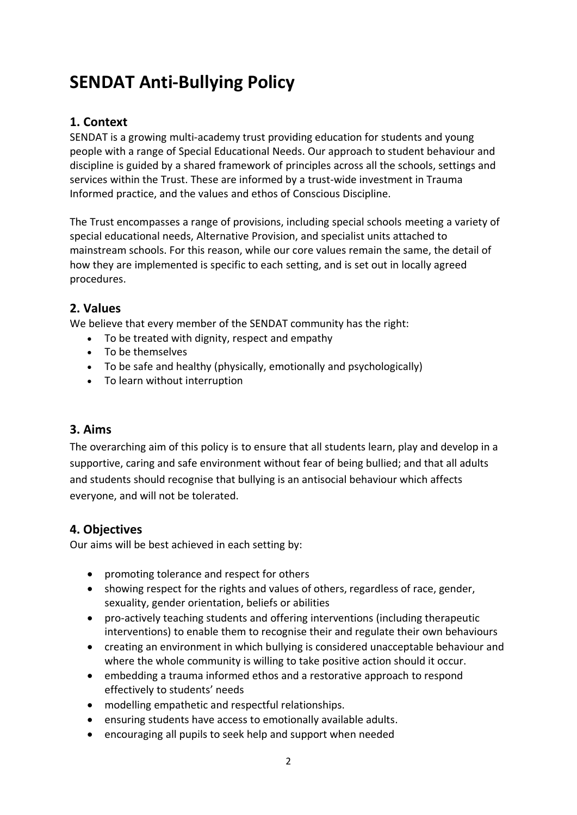# **SENDAT Anti-Bullying Policy**

# **1. Context**

SENDAT is a growing multi-academy trust providing education for students and young people with a range of Special Educational Needs. Our approach to student behaviour and discipline is guided by a shared framework of principles across all the schools, settings and services within the Trust. These are informed by a trust-wide investment in Trauma Informed practice, and the values and ethos of Conscious Discipline.

The Trust encompasses a range of provisions, including special schools meeting a variety of special educational needs, Alternative Provision, and specialist units attached to mainstream schools. For this reason, while our core values remain the same, the detail of how they are implemented is specific to each setting, and is set out in locally agreed procedures.

# **2. Values**

We believe that every member of the SENDAT community has the right:

- To be treated with dignity, respect and empathy
- To be themselves
- To be safe and healthy (physically, emotionally and psychologically)
- To learn without interruption

# **3. Aims**

The overarching aim of this policy is to ensure that all students learn, play and develop in a supportive, caring and safe environment without fear of being bullied; and that all adults and students should recognise that bullying is an antisocial behaviour which affects everyone, and will not be tolerated.

# **4. Objectives**

Our aims will be best achieved in each setting by:

- promoting tolerance and respect for others
- showing respect for the rights and values of others, regardless of race, gender, sexuality, gender orientation, beliefs or abilities
- pro-actively teaching students and offering interventions (including therapeutic interventions) to enable them to recognise their and regulate their own behaviours
- creating an environment in which bullying is considered unacceptable behaviour and where the whole community is willing to take positive action should it occur.
- embedding a trauma informed ethos and a restorative approach to respond effectively to students' needs
- modelling empathetic and respectful relationships.
- ensuring students have access to emotionally available adults.
- encouraging all pupils to seek help and support when needed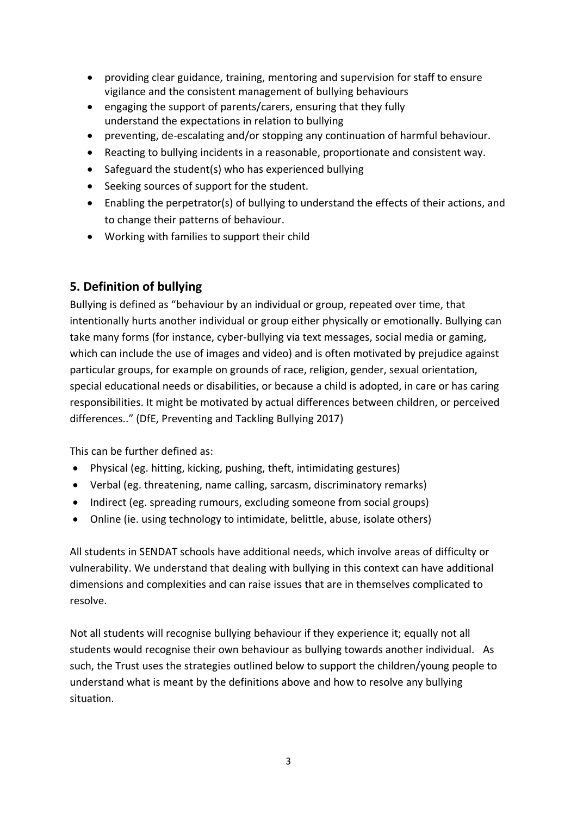- providing clear guidance, training, mentoring and supervision for staff to ensure vigilance and the consistent management of bullying behaviours
- engaging the support of parents/carers, ensuring that they fully understand the expectations in relation to bullying
- preventing, de-escalating and/or stopping any continuation of harmful behaviour.
- Reacting to bullying incidents in a reasonable, proportionate and consistent way.
- Safeguard the student(s) who has experienced bullying
- Seeking sources of support for the student.
- Enabling the perpetrator(s) of bullying to understand the effects of their actions, and to change their patterns of behaviour.
- Working with families to support their child

# **5. Definition of bullying**

Bullying is defined as "behaviour by an individual or group, repeated over time, that intentionally hurts another individual or group either physically or emotionally. Bullying can take many forms (for instance, cyber-bullying via text messages, social media or gaming, which can include the use of images and video) and is often motivated by prejudice against particular groups, for example on grounds of race, religion, gender, sexual orientation, special educational needs or disabilities, or because a child is adopted, in care or has caring responsibilities. It might be motivated by actual differences between children, or perceived differences.." (DfE, Preventing and Tackling Bullying 2017)

This can be further defined as:

- Physical (eg. hitting, kicking, pushing, theft, intimidating gestures)
- Verbal (eg. threatening, name calling, sarcasm, discriminatory remarks)
- Indirect (eg. spreading rumours, excluding someone from social groups)
- Online (ie. using technology to intimidate, belittle, abuse, isolate others)

All students in SENDAT schools have additional needs, which involve areas of difficulty or vulnerability. We understand that dealing with bullying in this context can have additional dimensions and complexities and can raise issues that are in themselves complicated to resolve.

Not all students will recognise bullying behaviour if they experience it; equally not all students would recognise their own behaviour as bullying towards another individual. As such, the Trust uses the strategies outlined below to support the children/young people to understand what is meant by the definitions above and how to resolve any bullying situation.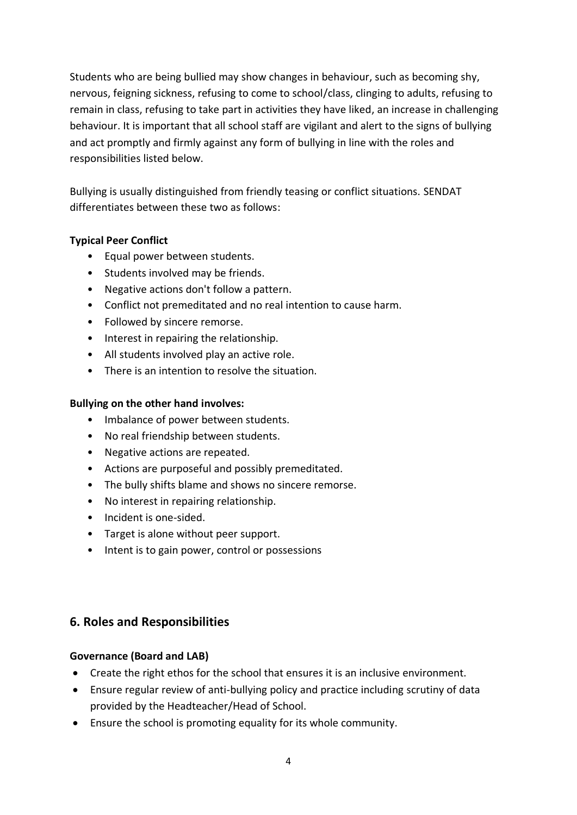Students who are being bullied may show changes in behaviour, such as becoming shy, nervous, feigning sickness, refusing to come to school/class, clinging to adults, refusing to remain in class, refusing to take part in activities they have liked, an increase in challenging behaviour. It is important that all school staff are vigilant and alert to the signs of bullying and act promptly and firmly against any form of bullying in line with the roles and responsibilities listed below.

Bullying is usually distinguished from friendly teasing or conflict situations. SENDAT differentiates between these two as follows:

## **Typical Peer Conflict**

- Equal power between students.
- Students involved may be friends.
- Negative actions don't follow a pattern.
- Conflict not premeditated and no real intention to cause harm.
- Followed by sincere remorse.
- Interest in repairing the relationship.
- All students involved play an active role.
- There is an intention to resolve the situation.

#### **Bullying on the other hand involves:**

- Imbalance of power between students.
- No real friendship between students.
- Negative actions are repeated.
- Actions are purposeful and possibly premeditated.
- The bully shifts blame and shows no sincere remorse.
- No interest in repairing relationship.
- Incident is one-sided.
- Target is alone without peer support.
- Intent is to gain power, control or possessions

# **6. Roles and Responsibilities**

#### **Governance (Board and LAB)**

- Create the right ethos for the school that ensures it is an inclusive environment.
- Ensure regular review of anti-bullying policy and practice including scrutiny of data provided by the Headteacher/Head of School.
- Ensure the school is promoting equality for its whole community.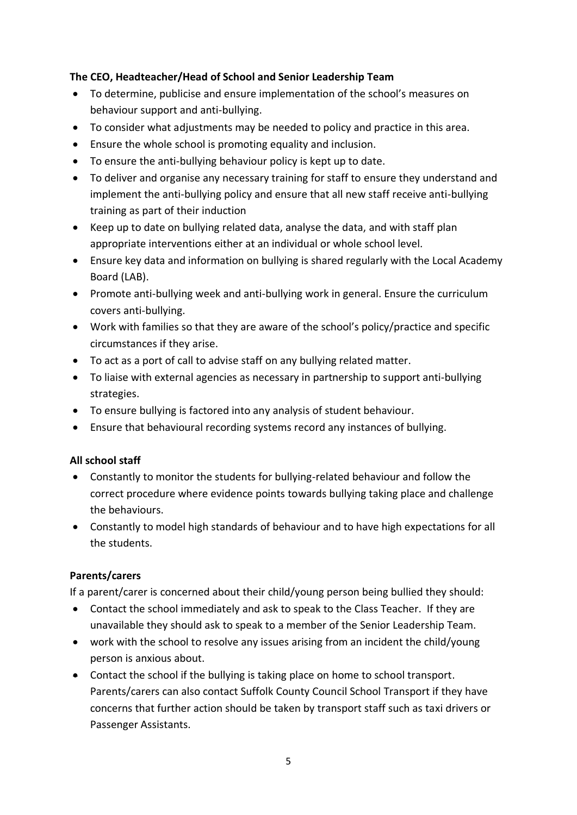## **The CEO, Headteacher/Head of School and Senior Leadership Team**

- To determine, publicise and ensure implementation of the school's measures on behaviour support and anti-bullying.
- To consider what adjustments may be needed to policy and practice in this area.
- Ensure the whole school is promoting equality and inclusion.
- To ensure the anti-bullying behaviour policy is kept up to date.
- To deliver and organise any necessary training for staff to ensure they understand and implement the anti-bullying policy and ensure that all new staff receive anti-bullying training as part of their induction
- Keep up to date on bullying related data, analyse the data, and with staff plan appropriate interventions either at an individual or whole school level.
- Ensure key data and information on bullying is shared regularly with the Local Academy Board (LAB).
- Promote anti-bullying week and anti-bullying work in general. Ensure the curriculum covers anti-bullying.
- Work with families so that they are aware of the school's policy/practice and specific circumstances if they arise.
- To act as a port of call to advise staff on any bullying related matter.
- To liaise with external agencies as necessary in partnership to support anti-bullying strategies.
- To ensure bullying is factored into any analysis of student behaviour.
- Ensure that behavioural recording systems record any instances of bullying.

#### **All school staff**

- Constantly to monitor the students for bullying-related behaviour and follow the correct procedure where evidence points towards bullying taking place and challenge the behaviours.
- Constantly to model high standards of behaviour and to have high expectations for all the students.

#### **Parents/carers**

If a parent/carer is concerned about their child/young person being bullied they should:

- Contact the school immediately and ask to speak to the Class Teacher. If they are unavailable they should ask to speak to a member of the Senior Leadership Team.
- work with the school to resolve any issues arising from an incident the child/young person is anxious about.
- Contact the school if the bullying is taking place on home to school transport. Parents/carers can also contact Suffolk County Council School Transport if they have concerns that further action should be taken by transport staff such as taxi drivers or Passenger Assistants.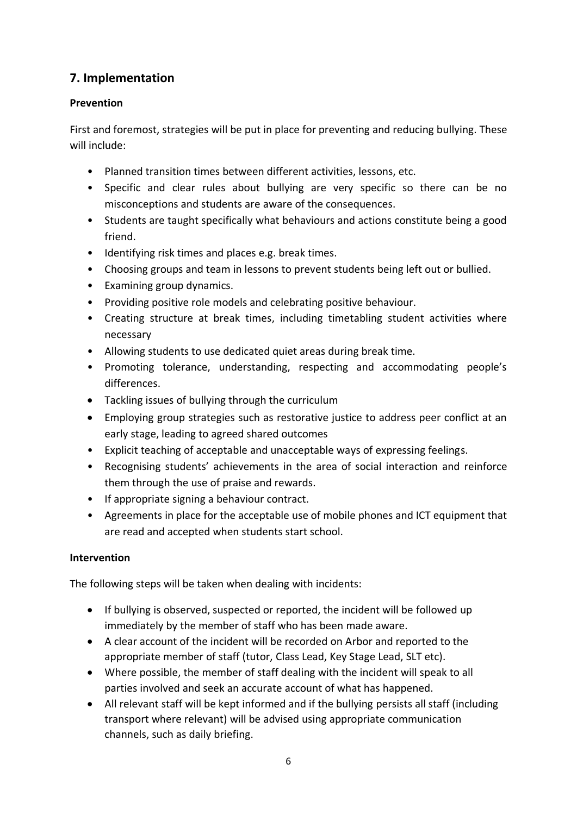# **7. Implementation**

# **Prevention**

First and foremost, strategies will be put in place for preventing and reducing bullying. These will include:

- Planned transition times between different activities, lessons, etc.
- Specific and clear rules about bullying are very specific so there can be no misconceptions and students are aware of the consequences.
- Students are taught specifically what behaviours and actions constitute being a good friend.
- Identifying risk times and places e.g. break times.
- Choosing groups and team in lessons to prevent students being left out or bullied.
- Examining group dynamics.
- Providing positive role models and celebrating positive behaviour.
- Creating structure at break times, including timetabling student activities where necessary
- Allowing students to use dedicated quiet areas during break time.
- Promoting tolerance, understanding, respecting and accommodating people's differences.
- Tackling issues of bullying through the curriculum
- Employing group strategies such as restorative justice to address peer conflict at an early stage, leading to agreed shared outcomes
- Explicit teaching of acceptable and unacceptable ways of expressing feelings.
- Recognising students' achievements in the area of social interaction and reinforce them through the use of praise and rewards.
- If appropriate signing a behaviour contract.
- Agreements in place for the acceptable use of mobile phones and ICT equipment that are read and accepted when students start school.

# **Intervention**

The following steps will be taken when dealing with incidents:

- If bullying is observed, suspected or reported, the incident will be followed up immediately by the member of staff who has been made aware.
- A clear account of the incident will be recorded on Arbor and reported to the appropriate member of staff (tutor, Class Lead, Key Stage Lead, SLT etc).
- Where possible, the member of staff dealing with the incident will speak to all parties involved and seek an accurate account of what has happened.
- All relevant staff will be kept informed and if the bullying persists all staff (including transport where relevant) will be advised using appropriate communication channels, such as daily briefing.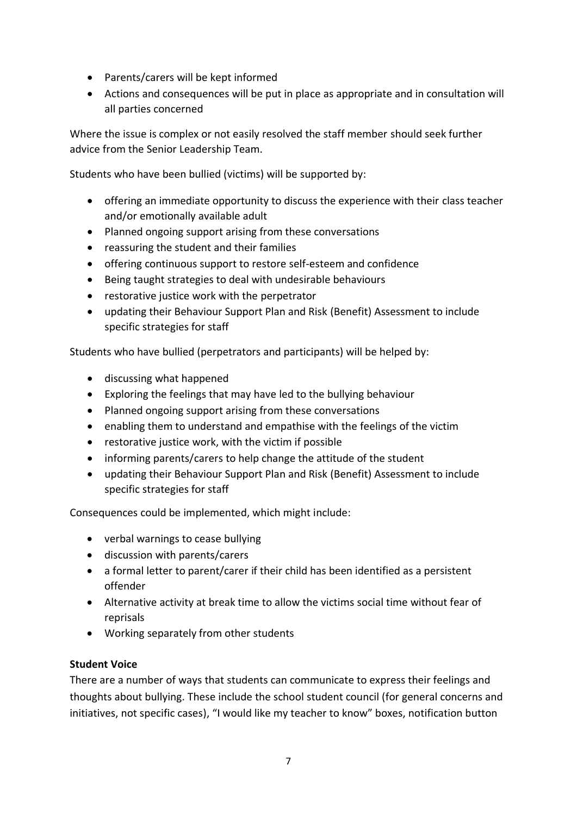- Parents/carers will be kept informed
- Actions and consequences will be put in place as appropriate and in consultation will all parties concerned

Where the issue is complex or not easily resolved the staff member should seek further advice from the Senior Leadership Team.

Students who have been bullied (victims) will be supported by:

- offering an immediate opportunity to discuss the experience with their class teacher and/or emotionally available adult
- Planned ongoing support arising from these conversations
- reassuring the student and their families
- offering continuous support to restore self-esteem and confidence
- Being taught strategies to deal with undesirable behaviours
- restorative justice work with the perpetrator
- updating their Behaviour Support Plan and Risk (Benefit) Assessment to include specific strategies for staff

Students who have bullied (perpetrators and participants) will be helped by:

- discussing what happened
- Exploring the feelings that may have led to the bullying behaviour
- Planned ongoing support arising from these conversations
- enabling them to understand and empathise with the feelings of the victim
- restorative justice work, with the victim if possible
- informing parents/carers to help change the attitude of the student
- updating their Behaviour Support Plan and Risk (Benefit) Assessment to include specific strategies for staff

Consequences could be implemented, which might include:

- verbal warnings to cease bullying
- discussion with parents/carers
- a formal letter to parent/carer if their child has been identified as a persistent offender
- Alternative activity at break time to allow the victims social time without fear of reprisals
- Working separately from other students

# **Student Voice**

There are a number of ways that students can communicate to express their feelings and thoughts about bullying. These include the school student council (for general concerns and initiatives, not specific cases), "I would like my teacher to know" boxes, notification button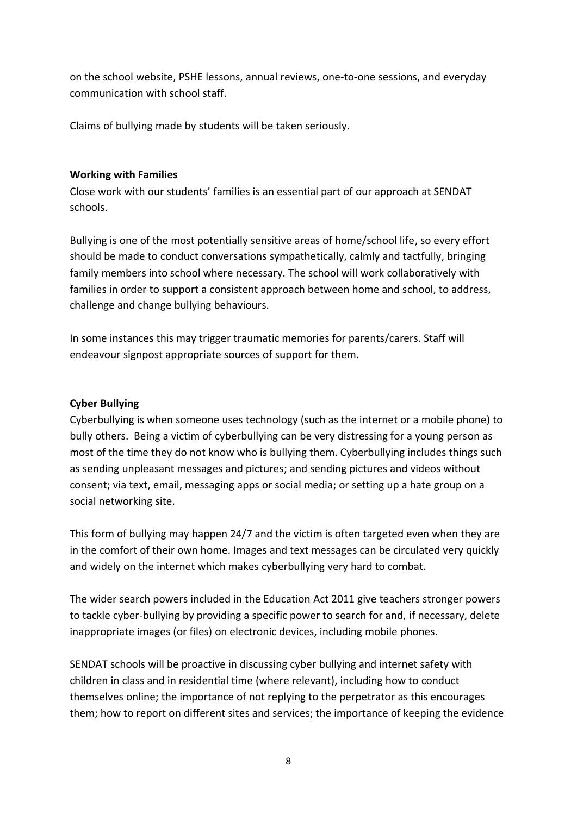on the school website, PSHE lessons, annual reviews, one-to-one sessions, and everyday communication with school staff.

Claims of bullying made by students will be taken seriously.

#### **Working with Families**

Close work with our students' families is an essential part of our approach at SENDAT schools.

Bullying is one of the most potentially sensitive areas of home/school life, so every effort should be made to conduct conversations sympathetically, calmly and tactfully, bringing family members into school where necessary. The school will work collaboratively with families in order to support a consistent approach between home and school, to address, challenge and change bullying behaviours.

In some instances this may trigger traumatic memories for parents/carers. Staff will endeavour signpost appropriate sources of support for them.

#### **Cyber Bullying**

Cyberbullying is when someone uses technology (such as the internet or a mobile phone) to bully others. Being a victim of cyberbullying can be very distressing for a young person as most of the time they do not know who is bullying them. Cyberbullying includes things such as sending unpleasant messages and pictures; and sending pictures and videos without consent; via text, email, messaging apps or social media; or setting up a hate group on a social networking site.

This form of bullying may happen 24/7 and the victim is often targeted even when they are in the comfort of their own home. Images and text messages can be circulated very quickly and widely on the internet which makes cyberbullying very hard to combat.

The wider search powers included in the Education Act 2011 give teachers stronger powers to tackle cyber-bullying by providing a specific power to search for and, if necessary, delete inappropriate images (or files) on electronic devices, including mobile phones.

SENDAT schools will be proactive in discussing cyber bullying and internet safety with children in class and in residential time (where relevant), including how to conduct themselves online; the importance of not replying to the perpetrator as this encourages them; how to report on different sites and services; the importance of keeping the evidence